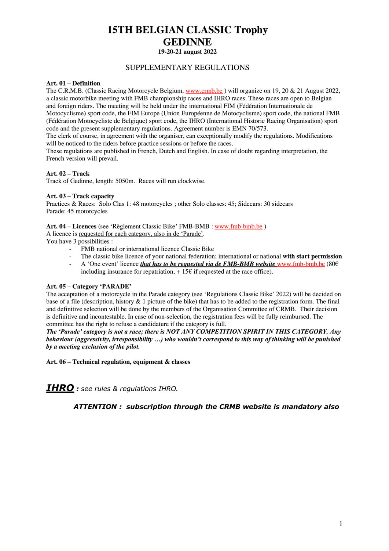# **15TH BELGIAN CLASSIC Trophy GEDINNE 19-20-21 august 2022**

# SUPPLEMENTARY REGULATIONS

## **Art. 01 – Definition**

The C.R.M.B. (Classic Racing Motorcycle Belgium, [www.crmb.be](http://www.crmb.be/) ) will organize on 19, 20 & 21 August 2022, a classic motorbike meeting with FMB championship races and IHRO races. These races are open to Belgian and foreign riders. The meeting will be held under the international FIM (Fédération Internationale de Motocyclisme) sport code, the FIM Europe (Union Européenne de Motocyclisme) sport code, the national FMB (Fédération Motocycliste de Belgique) sport code, the IHRO (International Historic Racing Organisation) sport code and the present supplementary regulations. Agreement number is EMN 70/573.

The clerk of course, in agreement with the organiser, can exceptionally modify the regulations. Modifications will be noticed to the riders before practice sessions or before the races.

These regulations are published in French, Dutch and English. In case of doubt regarding interpretation, the French version will prevail.

# **Art. 02 – Track**

Track of Gedinne, length: 5050m. Races will run clockwise.

#### **Art. 03 – Track capacity**

Practices & Races: Solo Clas 1: 48 motorcycles ; other Solo classes: 45; Sidecars: 30 sidecars Parade: 45 motorcycles

#### **Art. 04 – Licences** (see 'Règlement Classic Bike' FMB-BMB [: www.fmb-bmb.be](http://www.fmb-bmb.be/) )

A licence is requested for each category, also in de 'Parade'.

You have 3 possibilities :

- FMB national or international licence Classic Bike
- The classic bike licence of your national federation; international or national **with start permission**
- A 'One event' licence *that has to be requested via de FMB-BMB website* [www.fmb-bmb.be](http://www.fmb-bmb.be/) (80€ including insurance for repatriation,  $+15\epsilon$  if requested at the race office).

# **Art. 05 – Category 'PARADE'**

The acceptation of a motorcycle in the Parade category (see 'Regulations Classic Bike' 2022) will be decided on base of a file (description, history  $& 1$  picture of the bike) that has to be added to the registration form. The final and definitive selection will be done by the members of the Organisation Committee of CRMB. Their decision is definitive and incontestable. In case of non-selection, the registration fees will be fully reimbursed. The committee has the right to refuse a candidature if the category is full.

*The 'Parade' category is not a race; there is NOT ANY COMPETITION SPIRIT IN THIS CATEGORY. Any behaviour (aggressivity, irresponsibility …) who wouldn't correspond to this way of thinking will be punished by a meeting exclusion of the pilot.*

**Art. 06 – Technical regulation, equipment & classes**

*IHRO : see rules & regulations IHRO.*

 *ATTENTION : subscription through the CRMB website is mandatory also*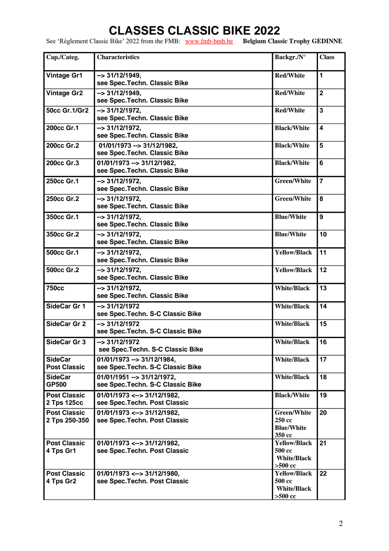# **CLASSES CLASSIC BIKE 2022**

See 'Règlement Classic Bike' 2022 from the FMB: [www.fmb-bmb.be](http://www.fmb-bmb.be/) **Belgium Classic Trophy GEDINNE**

| Cap./Categ.                           | <b>Characteristics</b>                                                | Backgr./N°                                                       | <b>Class</b>            |
|---------------------------------------|-----------------------------------------------------------------------|------------------------------------------------------------------|-------------------------|
| <b>Vintage Gr1</b>                    | $\rightarrow$ 31/12/1949,<br>see Spec. Techn. Classic Bike            | <b>Red/White</b>                                                 | $\mathbf{1}$            |
| <b>Vintage Gr2</b>                    | $\rightarrow$ 31/12/1949,<br>see Spec. Techn. Classic Bike            | <b>Red/White</b>                                                 | $\overline{\mathbf{2}}$ |
| 50cc Gr.1/Gr2                         | $\rightarrow$ 31/12/1972,<br>see Spec. Techn. Classic Bike            | <b>Red/White</b>                                                 | 3                       |
| 200cc Gr.1                            | $\rightarrow$ 31/12/1972.<br>see Spec. Techn. Classic Bike            | <b>Black/White</b>                                               | 4                       |
| 200cc Gr.2                            | $01/01/1973 \rightarrow 31/12/1982$<br>see Spec. Techn. Classic Bike  | <b>Black/White</b>                                               | 5                       |
| 200cc Gr.3                            | 01/01/1973 --> 31/12/1982,<br>see Spec. Techn. Classic Bike           | <b>Black/White</b>                                               | 6                       |
| 250cc Gr.1                            | $\rightarrow$ 31/12/1972.<br>see Spec. Techn. Classic Bike            | <b>Green/White</b>                                               | $\overline{7}$          |
| 250cc Gr.2                            | $\rightarrow$ 31/12/1972,<br>see Spec. Techn. Classic Bike            | <b>Green/White</b>                                               | 8                       |
| 350cc Gr.1                            | $\rightarrow$ 31/12/1972,<br>see Spec. Techn. Classic Bike            | <b>Blue/White</b>                                                | 9                       |
| 350cc Gr.2                            | $\overline{\rightarrow}$ 31/12/1972,<br>see Spec. Techn. Classic Bike | <b>Blue/White</b>                                                | 10                      |
| 500cc Gr.1                            | $\rightarrow$ 31/12/1972,<br>see Spec. Techn. Classic Bike            | <b>Yellow/Black</b>                                              | 11                      |
| 500cc Gr.2                            | $\rightarrow$ 31/12/1972,<br>see Spec. Techn. Classic Bike            | <b>Yellow/Black</b>                                              | 12                      |
| <b>750cc</b>                          | $\rightarrow$ 31/12/1972,<br>see Spec. Techn. Classic Bike            | <b>White/Black</b>                                               | 13                      |
| SideCar Gr 1                          | $\rightarrow$ 31/12/1972<br>see Spec. Techn. S-C Classic Bike         | <b>White/Black</b>                                               | 14                      |
| <b>SideCar Gr 2</b>                   | $\rightarrow$ 31/12/1972<br>see Spec. Techn. S-C Classic Bike         | <b>White/Black</b>                                               | 15                      |
| SideCar Gr 3                          | $\rightarrow$ 31/12/1972<br>see Spec. Techn. S-C Classic Bike         | <b>White/Black</b>                                               | 16                      |
| <b>SideCar</b><br><b>Post Classic</b> | 01/01/1973 --> 31/12/1984,<br>see Spec. Techn. S-C Classic Bike       | <b>White/Black</b>                                               | 17                      |
| <b>SideCar</b><br>GP500               | 01/01/1951 -- > 31/12/1972,<br>see Spec. Techn. S-C Classic Bike      | <b>White/Black</b>                                               | 18                      |
| <b>Post Classic</b><br>2 Tps 125cc    | $01/01/1973 \leftarrow$ 31/12/1982,<br>see Spec. Techn. Post Classic  | <b>Black/White</b>                                               | 19                      |
| <b>Post Classic</b><br>2 Tps 250-350  | $01/01/1973 \leftarrow 31/12/1982,$<br>see Spec. Techn. Post Classic  | <b>Green/White</b><br>250 cc<br><b>Blue/White</b><br>350 cc      | 20                      |
| <b>Post Classic</b><br>4 Tps Gr1      | $01/01/1973 \leftarrow 31/12/1982$<br>see Spec. Techn. Post Classic   | <b>Yellow/Black</b><br>500 cc<br><b>White/Black</b><br>$>500$ cc | 21                      |
| <b>Post Classic</b><br>4 Tps Gr2      | $01/01/1973 \leftarrow$ 31/12/1980,<br>see Spec. Techn. Post Classic  | <b>Yellow/Black</b><br>500 cc<br><b>White/Black</b><br>$>500$ cc | 22                      |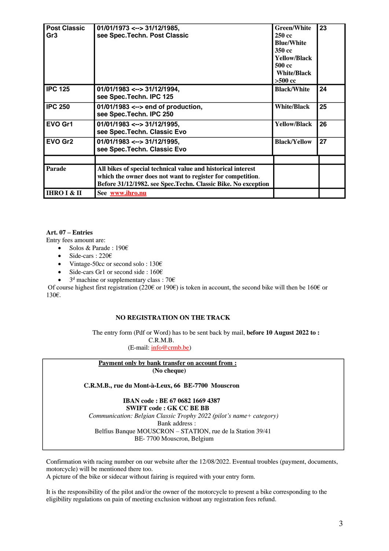| <b>Post Classic</b><br>Gr <sub>3</sub> | $01/01/1973 \leftarrow$ 31/12/1985,<br>see Spec. Techn. Post Classic                                                        | <b>Green/White</b><br>250 cc<br><b>Blue/White</b><br>350 cc<br><b>Yellow/Black</b><br>500 cc<br><b>White/Black</b><br>$>500$ cc | 23 |
|----------------------------------------|-----------------------------------------------------------------------------------------------------------------------------|---------------------------------------------------------------------------------------------------------------------------------|----|
| <b>IPC 125</b>                         | $01/01/1983 \leftarrow > 31/12/1994$<br>see Spec. Techn. IPC 125                                                            | <b>Black/White</b>                                                                                                              | 24 |
| <b>IPC 250</b>                         | $01/01/1983 \leftarrow$ end of production,<br>see Spec. Techn. IPC 250                                                      | <b>White/Black</b>                                                                                                              | 25 |
| EVO Gr1                                | $01/01/1983 \leftarrow$ 31/12/1995,<br>see Spec. Techn. Classic Evo                                                         | <b>Yellow/Black</b>                                                                                                             | 26 |
| EVO Gr2                                | $01/01/1983 \leftarrow 31/12/1995$<br>see Spec. Techn. Classic Evo                                                          | <b>Black/Yellow</b>                                                                                                             | 27 |
| <b>Parade</b>                          | All bikes of special technical value and historical interest                                                                |                                                                                                                                 |    |
|                                        | which the owner does not want to register for competition.<br>Before 31/12/1982. see Spec.Techn. Classic Bike. No exception |                                                                                                                                 |    |
| <b>IHRO I &amp; II</b>                 | See www.ihro.nu                                                                                                             |                                                                                                                                 |    |

# **Art. 07 – Entries**

Entry fees amount are:

- Solos & Parade : 190 $\epsilon$
- Side-cars : 220€
- Vintage-50cc or second solo : 130€
- Side-cars Gr1 or second side :  $160 \in$
- 3<sup>d</sup> machine or supplementary class : 70 $\epsilon$

Of course highest first registration (220€ or 190€) is token in account, the second bike will then be 160€ or 130€.

# **NO REGISTRATION ON THE TRACK**

The entry form (Pdf or Word) has to be sent back by mail, **before 10 August 2022 to :** C.R.M.B.

(E-mail: [info@crmb.be\)](mailto:info@crmb.be)

#### **Payment only by bank transfer on account from : (No cheque)**

 **C.R.M.B., rue du Mont-à-Leux, 66 BE-7700 Mouscron**

 **IBAN code : BE 67 0682 1669 4387 SWIFT code : GK CC BE BB**  *Communication: Belgian Classic Trophy 2022 (pilot's name+ category)* Bank address : Belfius Banque MOUSCRON – STATION, rue de la Station 39/41 BE- 7700 Mouscron, Belgium

Confirmation with racing number on our website after the 12/08/2022. Eventual troubles (payment, documents, motorcycle) will be mentioned there too.

A picture of the bike or sidecar without fairing is required with your entry form.

It is the responsibility of the pilot and/or the owner of the motorcycle to present a bike corresponding to the eligibility regulations on pain of meeting exclusion without any registration fees refund.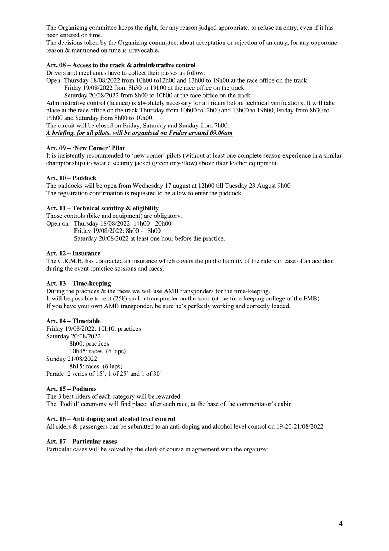The Organizing committee keeps the right, for any reason judged appropriate, to refuse an entry, even if it has been entered on time.

The decisions token by the Organizing committee, about acceptation or rejection of an entry, for any opportune reason & mentioned on time is irrevocable.

# **Art. 08 – Access to the track & administrative control**

Drivers and mechanics have to collect their passes as follow:

Open :Thursday 18/08/2022 from 10h00 to12h00 and 13h00 to 19h00 at the race office on the track Friday 19/08/2022 from 8h30 to 19h00 at the race office on the track

Saturday 20/08/2022 from 8h00 to 10h00 at the race office on the track

Administrative control (licence) is absolutely necessary for all riders before technical verifications. It will take place at the race office on the track Thursday from 10h00 to12h00 and 13h00 to 19h00, Friday from 8h30 to 19h00 and Saturday from 8h00 to 10h00.

The circuit will be closed on Friday, Saturday and Sunday from 7h00.

*A briefing, for all pilots, will be organised on Friday around 09.00am*

#### **Art. 09 – 'New Comer' Pilot**

It is insistently recommended to 'new comer' pilots (without at least one complete season experience in a similar championship) to wear a security jacket (green or yellow) above their leather equipment.

#### **Art. 10 – Paddock**

The paddocks will be open from Wednesday 17 august at 12h00 till Tuesday 23 August 9h00 The registration confirmation is requested to be allow to enter the paddock.

#### **Art. 11 – Technical scrutiny & eligibility**

Those controls (bike and equipment) are obligatory. Open on : Thursday 18/08/2022: 14h00 - 20h00 Friday 19/08/2022: 8h00 - 18h00 Saturday 20/08/2022 at least one hour before the practice.

#### **Art. 12 – Insurance**

The C.R.M.B. has contracted an insurance which covers the public liability of the riders in case of an accident during the event (practice sessions and races)

## **Art. 13 – Time-keeping**

During the practices  $\&$  the races we will use AMB transponders for the time-keeping. It will be possible to rent (25 $\varepsilon$ ) such a transponder on the track (at the time-keeping college of the FMB). If you have your own AMB transponder, be sure he's perfectly working and correctly loaded.

# **Art. 14 – Timetable**

Friday 19/08/2022: 10h10: practices Saturday 20/08/2022 8h00: practices 10h45: races (6 laps) Sunday 21/08/2022 8h15: races (6 laps) Parade: 2 series of 15', 1 of 25' and 1 of 30'

# **Art. 15 – Podiums**

The 3 best riders of each category will be rewarded. The 'Podiul' ceremony will find place, after each race, at the base of the commentator's cabin.

#### **Art. 16 – Anti doping and alcohol level control**

All riders & passengers can be submitted to an anti-doping and alcohol level control on 19-20-21/08/2022

#### **Art. 17 – Particular cases**

Particular cases will be solved by the clerk of course in agreement with the organizer.